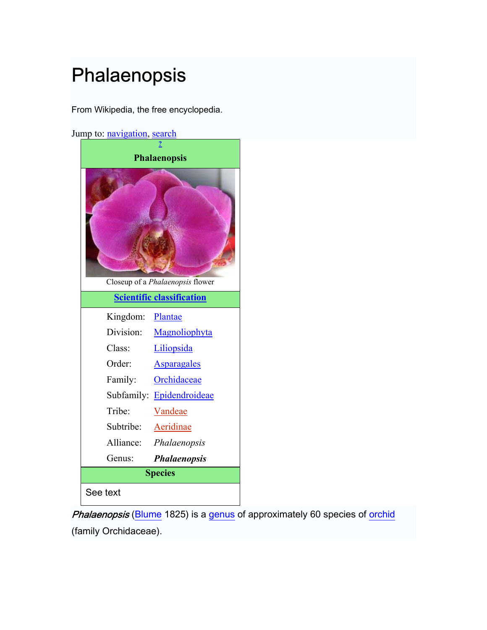# Phalaenopsis

From Wikipedia, the free encyclopedia.

Jump to: [navigation](http://en.wikipedia.org/wiki/), [search](http://en.wikipedia.org/wiki/)

| <b>Phalaenopsis</b>              |                           |
|----------------------------------|---------------------------|
| Closeup of a Phalaenopsis flower |                           |
| <b>Scientific classification</b> |                           |
| Kingdom:                         | Plantae                   |
| Division:                        | Magnoliophyta             |
| Class:                           | Liliopsida                |
| Order:                           | <b>Asparagales</b>        |
| Family:                          | Orchidaceae               |
|                                  | Subfamily: Epidendroideae |
| Tribe:                           | Vandeae                   |
| Subtribe:                        | Aeridinae                 |
| Alliance:                        | Phalaenopsis              |
| Genus:                           | <b>Phalaenopsis</b>       |
| <b>Species</b>                   |                           |
| See text                         |                           |

Phalaenopsis ([Blume](http://en.wikipedia.org/wiki/Carl_Ludwig_Blume) 1825) is a [genus](http://en.wikipedia.org/wiki/Genus) of approximately 60 species of [orchid](http://en.wikipedia.org/wiki/Orchidaceae) (family Orchidaceae).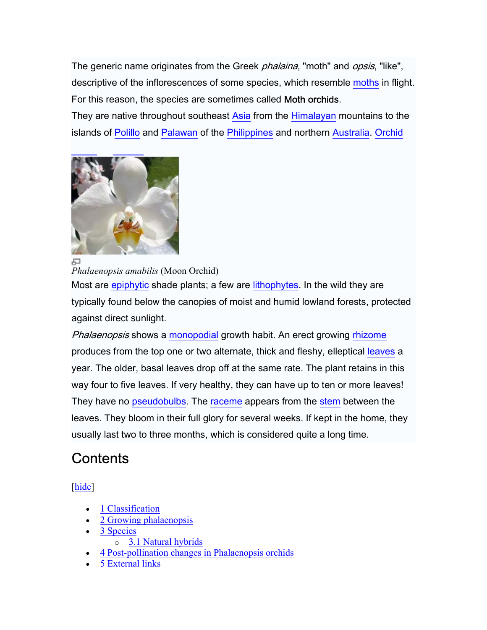The generic name originates from the Greek *phalaina*, "moth" and *opsis*, "like", descriptive of the inflorescences of some species, which resemble [moths](http://en.wikipedia.org/wiki/Moth) in flight. For this reason, the species are sometimes called Moth orchids.

They are native throughout southeast [Asia](http://en.wikipedia.org/wiki/Asia) from the [Himalayan](http://en.wikipedia.org/wiki/Himalayas) mountains to the islands of [Polillo](http://en.wikipedia.org/wiki/Polillo) and [Palawan](http://en.wikipedia.org/wiki/Palawan) of the [Philippines](http://en.wikipedia.org/wiki/Philippines) and northern [Australia.](http://en.wikipedia.org/wiki/Australia) [Orchid](http://en.wikipedia.org/wiki/Orchid_Island) 



石

*Phalaenopsis amabilis* (Moon Orchid)

Most are [epiphytic](http://en.wikipedia.org/wiki/Epiphyte) shade plants; a few are [lithophytes](http://en.wikipedia.org/wiki/Lithophyte). In the wild they are typically found below the canopies of moist and humid lowland forests, protected against direct sunlight.

Phalaenopsis shows a [monopodial](http://en.wikipedia.org/wiki/Monopodial) growth habit. An erect growing [rhizome](http://en.wikipedia.org/wiki/Rhizome) produces from the top one or two alternate, thick and fleshy, elleptical [leaves](http://en.wikipedia.org/wiki/Leaf) a year. The older, basal leaves drop off at the same rate. The plant retains in this way four to five leaves. If very healthy, they can have up to ten or more leaves! They have no [pseudobulbs](http://en.wikipedia.org/wiki/Pseudobulb). The [raceme](http://en.wikipedia.org/wiki/Raceme) appears from the [stem](http://en.wikipedia.org/wiki/Stem) between the leaves. They bloom in their full glory for several weeks. If kept in the home, they usually last two to three months, which is considered quite a long time.

### **Contents**

[hide]

- [1 Classification](http://en.wikipedia.org/wiki/)
- [2 Growing phalaenopsis](http://en.wikipedia.org/wiki/)
- [3 Species](http://en.wikipedia.org/wiki/) 
	- o [3.1 Natural hybrids](http://en.wikipedia.org/wiki/)
- [4 Post-pollination changes in Phalaenopsis orchids](http://en.wikipedia.org/wiki/)
- [5 External links](http://en.wikipedia.org/wiki/)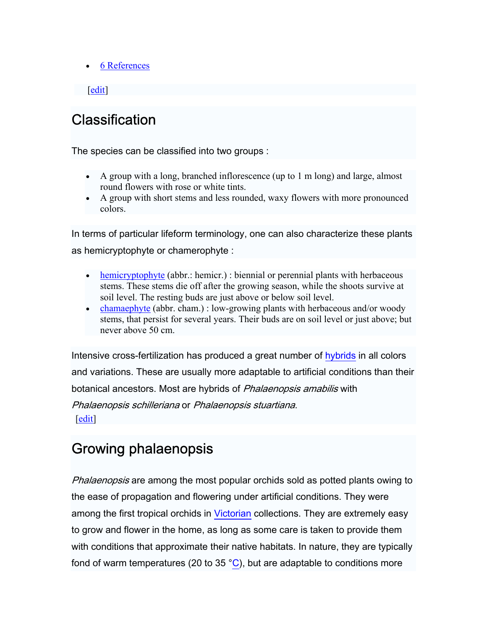• **[6 References](http://en.wikipedia.org/wiki/)** 

#### $\left| \right|$  edit

### **Classification**

The species can be classified into two groups :

- A group with a long, branched inflorescence (up to 1 m long) and large, almost round flowers with rose or white tints.
- A group with short stems and less rounded, waxy flowers with more pronounced colors.

In terms of particular lifeform terminology, one can also characterize these plants as hemicryptophyte or chamerophyte :

- [hemicryptophyte](http://en.wikipedia.org/wiki/Hemicryptophyte) (abbr.: hemicr.) : biennial or perennial plants with herbaceous stems. These stems die off after the growing season, while the shoots survive at soil level. The resting buds are just above or below soil level.
- [chamaephyte](http://en.wikipedia.org/wiki/Chamaephyte) (abbr. cham.) : low-growing plants with herbaceous and/or woody stems, that persist for several years. Their buds are on soil level or just above; but never above 50 cm.

Intensive cross-fertilization has produced a great number of [hybrids](http://en.wikipedia.org/wiki/Hybrid) in all colors and variations. These are usually more adaptable to artificial conditions than their botanical ancestors. Most are hybrids of Phalaenopsis amabilis with Phalaenopsis schilleriana or Phalaenopsis stuartiana.  $\left|$  [edit](http://en.wikipedia.org/w/index.php?title=Phalaenopsis&action=edit§ion=2) $\right|$ 

### Growing phalaenopsis

Phalaenopsis are among the most popular orchids sold as potted plants owing to the ease of propagation and flowering under artificial conditions. They were among the first tropical orchids in [Victorian](http://en.wikipedia.org/wiki/Victorian_era) collections. They are extremely easy to grow and flower in the home, as long as some care is taken to provide them with conditions that approximate their native habitats. In nature, they are typically fond of warm temperatures (20 to 35  $^{\circ}$ C), but are adaptable to conditions more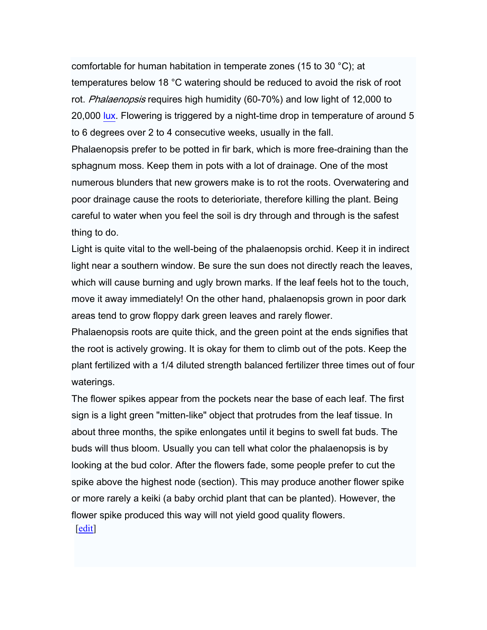comfortable for human habitation in temperate zones (15 to 30 °C); at temperatures below 18 °C watering should be reduced to avoid the risk of root rot. Phalaenopsis requires high humidity (60-70%) and low light of 12,000 to 20,000 [lux](http://en.wikipedia.org/wiki/Lux). Flowering is triggered by a night-time drop in temperature of around 5 to 6 degrees over 2 to 4 consecutive weeks, usually in the fall. Phalaenopsis prefer to be potted in fir bark, which is more free-draining than the sphagnum moss. Keep them in pots with a lot of drainage. One of the most numerous blunders that new growers make is to rot the roots. Overwatering and poor drainage cause the roots to deterioriate, therefore killing the plant. Being careful to water when you feel the soil is dry through and through is the safest

thing to do.

Light is quite vital to the well-being of the phalaenopsis orchid. Keep it in indirect light near a southern window. Be sure the sun does not directly reach the leaves, which will cause burning and ugly brown marks. If the leaf feels hot to the touch, move it away immediately! On the other hand, phalaenopsis grown in poor dark areas tend to grow floppy dark green leaves and rarely flower.

Phalaenopsis roots are quite thick, and the green point at the ends signifies that the root is actively growing. It is okay for them to climb out of the pots. Keep the plant fertilized with a 1/4 diluted strength balanced fertilizer three times out of four waterings.

The flower spikes appear from the pockets near the base of each leaf. The first sign is a light green "mitten-like" object that protrudes from the leaf tissue. In about three months, the spike enlongates until it begins to swell fat buds. The buds will thus bloom. Usually you can tell what color the phalaenopsis is by looking at the bud color. After the flowers fade, some people prefer to cut the spike above the highest node (section). This may produce another flower spike or more rarely a keiki (a baby orchid plant that can be planted). However, the flower spike produced this way will not yield good quality flowers. [[edit](http://en.wikipedia.org/w/index.php?title=Phalaenopsis&action=edit§ion=3)]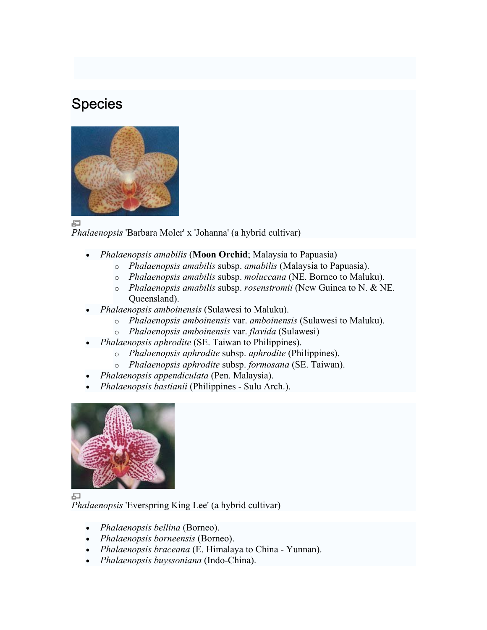### **Species**



量

*Phalaenopsis* 'Barbara Moler' x 'Johanna' (a hybrid cultivar)

- *Phalaenopsis amabilis* (**Moon Orchid**; Malaysia to Papuasia)
	- o *Phalaenopsis amabilis* subsp. *amabilis* (Malaysia to Papuasia).
	- o *Phalaenopsis amabilis* subsp. *moluccana* (NE. Borneo to Maluku).
	- o *Phalaenopsis amabilis* subsp. *rosenstromii* (New Guinea to N. & NE. Queensland).
- *Phalaenopsis amboinensis* (Sulawesi to Maluku).
	- o *Phalaenopsis amboinensis* var. *amboinensis* (Sulawesi to Maluku).
	- o *Phalaenopsis amboinensis* var. *flavida* (Sulawesi)
- *Phalaenopsis aphrodite* (SE. Taiwan to Philippines).
	- o *Phalaenopsis aphrodite* subsp. *aphrodite* (Philippines).
	- o *Phalaenopsis aphrodite* subsp. *formosana* (SE. Taiwan).
- *Phalaenopsis appendiculata* (Pen. Malaysia).
- *Phalaenopsis bastianii* (Philippines Sulu Arch.).



*Phalaenopsis* 'Everspring King Lee' (a hybrid cultivar)

- *Phalaenopsis bellina* (Borneo).
- *Phalaenopsis borneensis* (Borneo).
- *Phalaenopsis braceana* (E. Himalaya to China Yunnan).
- *Phalaenopsis buyssoniana* (Indo-China).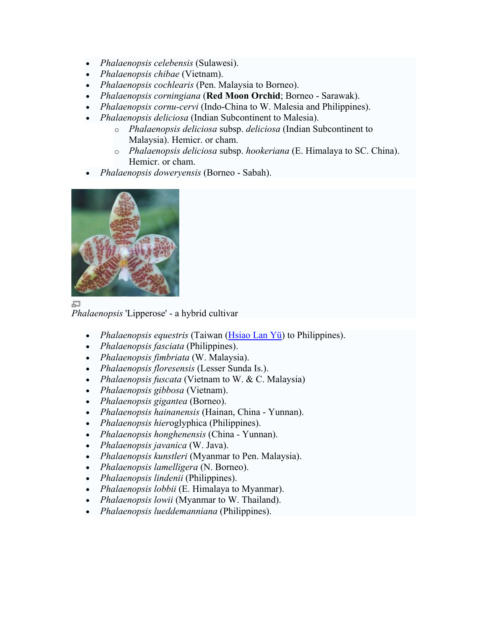- *Phalaenopsis celebensis* (Sulawesi).
- *Phalaenopsis chibae* (Vietnam).
- *Phalaenopsis cochlearis* (Pen. Malaysia to Borneo).
- *Phalaenopsis corningiana* (**Red Moon Orchid**; Borneo Sarawak).
- *Phalaenopsis cornu-cervi* (Indo-China to W. Malesia and Philippines).
- *Phalaenopsis deliciosa* (Indian Subcontinent to Malesia).
	- o *Phalaenopsis deliciosa* subsp. *deliciosa* (Indian Subcontinent to Malaysia). Hemicr. or cham.
	- o *Phalaenopsis deliciosa* subsp. *hookeriana* (E. Himalaya to SC. China). Hemicr. or cham.
- *Phalaenopsis doweryensis* (Borneo Sabah).



石

*Phalaenopsis* 'Lipperose' - a hybrid cultivar

- *Phalaenopsis equestris* (Taiwan [\(Hsiao Lan Yü](http://en.wikipedia.org/wiki/Hsiao_Lan_Y%C3%BC)) to Philippines).
- *Phalaenopsis fasciata* (Philippines).
- *Phalaenopsis fimbriata* (W. Malaysia).
- *Phalaenopsis floresensis* (Lesser Sunda Is.).
- *Phalaenopsis fuscata* (Vietnam to W. & C. Malaysia)
- *Phalaenopsis gibbosa* (Vietnam).
- *Phalaenopsis gigantea* (Borneo).
- *Phalaenopsis hainanensis* (Hainan, China Yunnan).
- *Phalaenopsis hier*oglyphica (Philippines).
- *Phalaenopsis honghenensis* (China Yunnan).
- *Phalaenopsis javanica* (W. Java).
- *Phalaenopsis kunstleri* (Myanmar to Pen. Malaysia).
- *Phalaenopsis lamelligera* (N. Borneo).
- *Phalaenopsis lindenii* (Philippines).
- *Phalaenopsis lobbii* (E. Himalaya to Myanmar).
- *Phalaenopsis lowii* (Myanmar to W. Thailand).
- *Phalaenopsis lueddemanniana* (Philippines).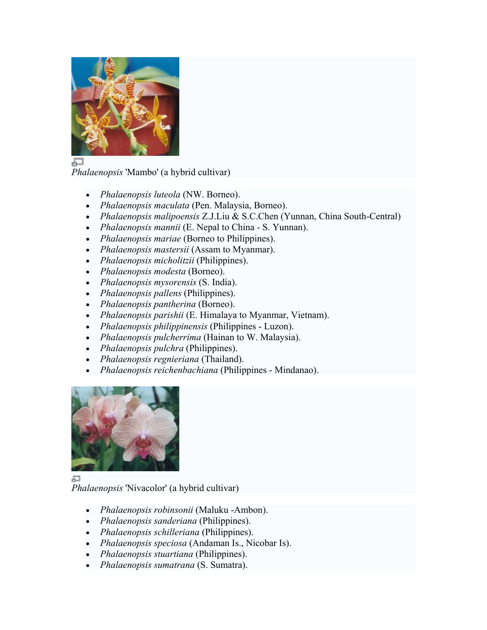

品

*Phalaenopsis* 'Mambo' (a hybrid cultivar)

- *Phalaenopsis luteola* (NW. Borneo).
- *Phalaenopsis maculata* (Pen. Malaysia, Borneo).
- *Phalaenopsis malipoensis* Z.J.Liu & S.C.Chen (Yunnan, China South-Central)
- *Phalaenopsis mannii* (E. Nepal to China S. Yunnan).
- *Phalaenopsis mariae* (Borneo to Philippines).
- *Phalaenopsis mastersii* (Assam to Myanmar).
- *Phalaenopsis micholitzii* (Philippines).
- *Phalaenopsis modesta* (Borneo).
- *Phalaenopsis mysorensis* (S. India).
- *Phalaenopsis pallens* (Philippines).
- *Phalaenopsis pantherina* (Borneo).
- *Phalaenopsis parishii* (E. Himalaya to Myanmar, Vietnam).
- *Phalaenopsis philippinensis* (Philippines Luzon).
- *Phalaenopsis pulcherrima* (Hainan to W. Malaysia).
- *Phalaenopsis pulchra* (Philippines).
- *Phalaenopsis regnieriana* (Thailand).
- *Phalaenopsis reichenbachiana* (Philippines Mindanao).



口 *Phalaenopsis* 'Nivacolor' (a hybrid cultivar)

- *Phalaenopsis robinsonii* (Maluku -Ambon).
- *Phalaenopsis sanderiana* (Philippines).
- *Phalaenopsis schilleriana* (Philippines).
- *Phalaenopsis speciosa* (Andaman Is., Nicobar Is).
- *Phalaenopsis stuartiana* (Philippines).
- *Phalaenopsis sumatrana* (S. Sumatra).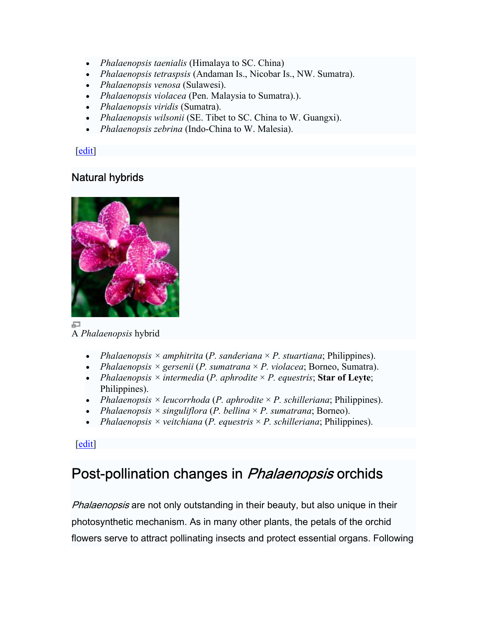- *Phalaenopsis taenialis* (Himalaya to SC. China)
- *Phalaenopsis tetraspsis* (Andaman Is., Nicobar Is., NW. Sumatra).
- *Phalaenopsis venosa* (Sulawesi).
- *Phalaenopsis violacea* (Pen. Malaysia to Sumatra).).
- *Phalaenopsis viridis* (Sumatra).
- *Phalaenopsis wilsonii* (SE. Tibet to SC. China to W. Guangxi).
- *Phalaenopsis zebrina* (Indo-China to W. Malesia).

[[edit](http://en.wikipedia.org/w/index.php?title=Phalaenopsis&action=edit§ion=4)]

### Natural hybrids



A *Phalaenopsis* hybrid

- *Phalaenopsis*  $\times$  *amphitrita* (*P. sanderiana*  $\times$  *P. stuartiana*; Philippines).
- *Phalaenopsis × gersenii* (*P. sumatrana* × *P. violacea*; Borneo, Sumatra).
- *Phalaenopsis × intermedia* (*P. aphrodite* × *P. equestris*; **Star of Leyte**; Philippines).
- *Phalaenopsis × leucorrhoda* (*P. aphrodite* × *P. schilleriana*; Philippines).
- *Phalaenopsis × singuliflora* (*P. bellina* × *P. sumatrana*; Borneo).
- *Phalaenopsis × veitchiana* (*P. equestris* × *P. schilleriana*; Philippines).

[[edit](http://en.wikipedia.org/w/index.php?title=Phalaenopsis&action=edit§ion=5)]

### Post-pollination changes in *Phalaenopsis* orchids

Phalaenopsis are not only outstanding in their beauty, but also unique in their photosynthetic mechanism. As in many other plants, the petals of the orchid flowers serve to attract pollinating insects and protect essential organs. Following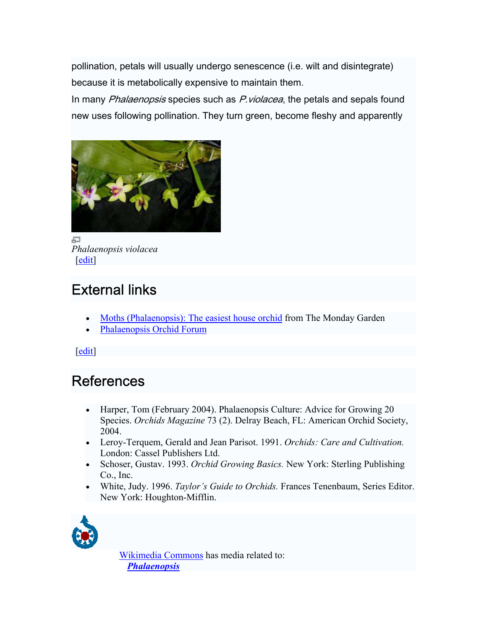pollination, petals will usually undergo senescence (i.e. wilt and disintegrate) because it is metabolically expensive to maintain them.

In many Phalaenopsis species such as P. violacea, the petals and sepals found new uses following pollination. They turn green, become fleshy and apparently



區 *Phalaenopsis violacea*  $\left[$ [edit](http://en.wikipedia.org/w/index.php?title=Phalaenopsis&action=edit§ion=6) $\right]$ 

# External links

- [Moths \(Phalaenopsis\): The easiest house orchid](http://www.inmygarden.org/archives/2005/03/moths_phalaenop.html) from The Monday Garden
- Phalaenopsis Orchid Forum

[[edit](http://en.wikipedia.org/w/index.php?title=Phalaenopsis&action=edit§ion=7)]

# References

- Harper, Tom (February 2004). Phalaenopsis Culture: Advice for Growing 20 Species. *Orchids Magazine* 73 (2). Delray Beach, FL: American Orchid Society, 2004.
- Leroy-Terquem, Gerald and Jean Parisot. 1991. *Orchids: Care and Cultivation.* London: Cassel Publishers Ltd.
- Schoser, Gustav. 1993. *Orchid Growing Basics.* New York: Sterling Publishing Co., Inc.
- White, Judy. 1996. *Taylor's Guide to Orchids.* Frances Tenenbaum, Series Editor. New York: Houghton-Mifflin.



[Wikimedia Commons](http://en.wikipedia.org/wiki/Wikimedia_Commons) has media related to: *[Phalaenopsis](http://commons.wikimedia.org/wiki/Artificial_%C3%97Phalaenopsis_hybrids)*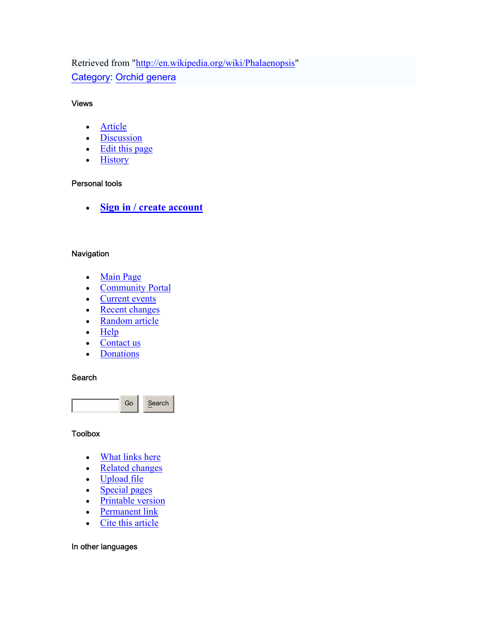Retrieved from "[http://en.wikipedia.org/wiki/Phalaenopsis"](http://en.wikipedia.org/wiki/Phalaenopsis) [Category:](http://en.wikipedia.org/w/index.php?title=Special:Categories&article=Phalaenopsis) [Orchid genera](http://en.wikipedia.org/wiki/Category:Orchid_genera)

#### Views

- [Article](http://en.wikipedia.org/wiki/Phalaenopsis)
- [Discussion](http://en.wikipedia.org/wiki/Talk:Phalaenopsis)
- [Edit this page](http://en.wikipedia.org/w/index.php?title=Phalaenopsis&action=edit)
- [History](http://en.wikipedia.org/w/index.php?title=Phalaenopsis&action=history)

#### Personal tools

• **[Sign in / create account](http://en.wikipedia.org/w/index.php?title=Special:Userlogin&returnto=Phalaenopsis)** 

#### **Navigation**

- [Main Page](http://en.wikipedia.org/wiki/Main_Page)
- [Community Portal](http://en.wikipedia.org/wiki/Wikipedia:Community_Portal)
- [Current events](http://en.wikipedia.org/wiki/Current_events)
- [Recent changes](http://en.wikipedia.org/wiki/Special:Recentchanges)
- Random article
- [Help](http://en.wikipedia.org/wiki/Help:Contents)
- [Contact us](http://en.wikipedia.org/wiki/Wikipedia:Contact_us)
- **[Donations](http://wikimediafoundation.org/wiki/Fundraising)**

#### **Search**



#### **Toolbox**

- [What links here](http://en.wikipedia.org/wiki/Special:Whatlinkshere/Phalaenopsis)
- [Related changes](http://en.wikipedia.org/wiki/Special:Recentchangeslinked/Phalaenopsis)
- [Upload file](http://en.wikipedia.org/wiki/Special:Upload)
- Special pages
- Printable version
- [Permanent link](http://en.wikipedia.org/w/index.php?title=Phalaenopsis&oldid=30918165)
- [Cite this article](http://en.wikipedia.org/w/index.php?title=Special:Cite&page=Phalaenopsis&id=30918165)

#### In other languages